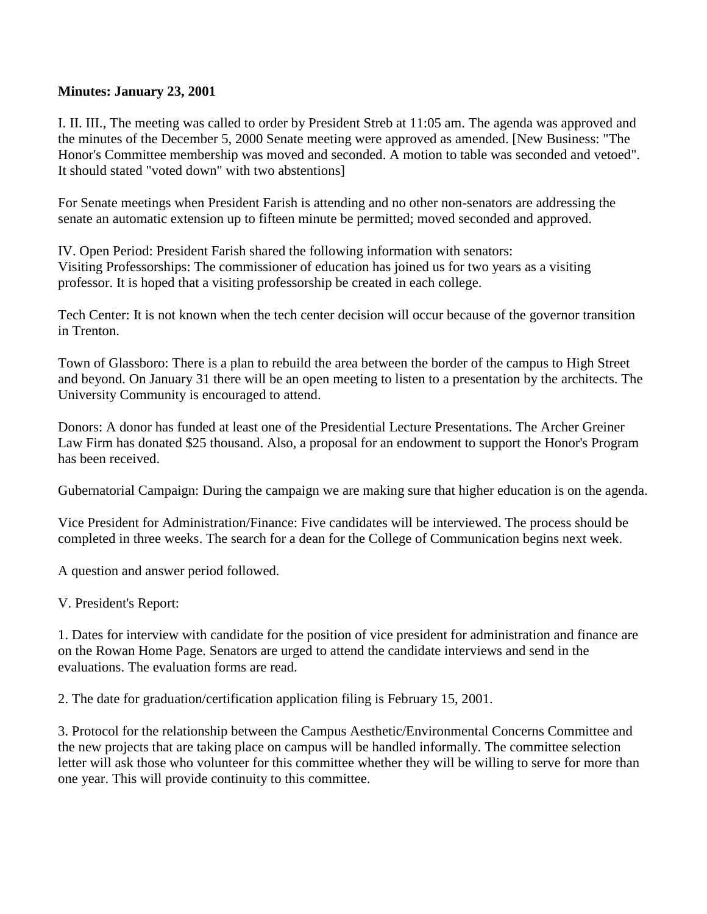## **Minutes: January 23, 2001**

I. II. III., The meeting was called to order by President Streb at 11:05 am. The agenda was approved and the minutes of the December 5, 2000 Senate meeting were approved as amended. [New Business: "The Honor's Committee membership was moved and seconded. A motion to table was seconded and vetoed". It should stated "voted down" with two abstentions]

For Senate meetings when President Farish is attending and no other non-senators are addressing the senate an automatic extension up to fifteen minute be permitted; moved seconded and approved.

IV. Open Period: President Farish shared the following information with senators: Visiting Professorships: The commissioner of education has joined us for two years as a visiting professor. It is hoped that a visiting professorship be created in each college.

Tech Center: It is not known when the tech center decision will occur because of the governor transition in Trenton.

Town of Glassboro: There is a plan to rebuild the area between the border of the campus to High Street and beyond. On January 31 there will be an open meeting to listen to a presentation by the architects. The University Community is encouraged to attend.

Donors: A donor has funded at least one of the Presidential Lecture Presentations. The Archer Greiner Law Firm has donated \$25 thousand. Also, a proposal for an endowment to support the Honor's Program has been received.

Gubernatorial Campaign: During the campaign we are making sure that higher education is on the agenda.

Vice President for Administration/Finance: Five candidates will be interviewed. The process should be completed in three weeks. The search for a dean for the College of Communication begins next week.

A question and answer period followed.

V. President's Report:

1. Dates for interview with candidate for the position of vice president for administration and finance are on the Rowan Home Page. Senators are urged to attend the candidate interviews and send in the evaluations. The evaluation forms are read.

2. The date for graduation/certification application filing is February 15, 2001.

3. Protocol for the relationship between the Campus Aesthetic/Environmental Concerns Committee and the new projects that are taking place on campus will be handled informally. The committee selection letter will ask those who volunteer for this committee whether they will be willing to serve for more than one year. This will provide continuity to this committee.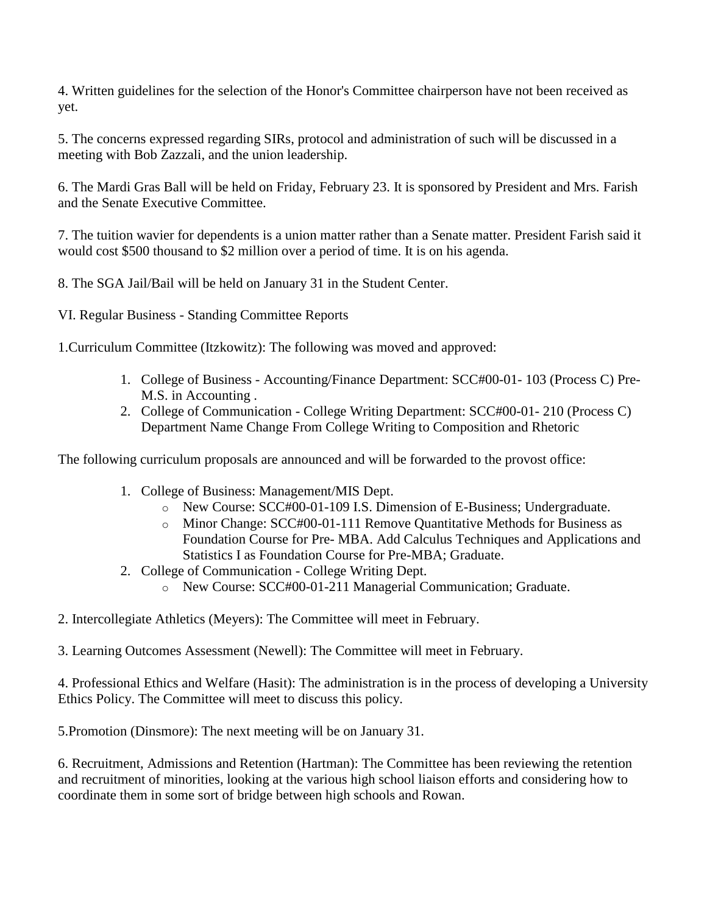4. Written guidelines for the selection of the Honor's Committee chairperson have not been received as yet.

5. The concerns expressed regarding SIRs, protocol and administration of such will be discussed in a meeting with Bob Zazzali, and the union leadership.

6. The Mardi Gras Ball will be held on Friday, February 23. It is sponsored by President and Mrs. Farish and the Senate Executive Committee.

7. The tuition wavier for dependents is a union matter rather than a Senate matter. President Farish said it would cost \$500 thousand to \$2 million over a period of time. It is on his agenda.

8. The SGA Jail/Bail will be held on January 31 in the Student Center.

VI. Regular Business - Standing Committee Reports

1.Curriculum Committee (Itzkowitz): The following was moved and approved:

- 1. College of Business Accounting/Finance Department: SCC#00-01- 103 (Process C) Pre-M.S. in Accounting .
- 2. College of Communication College Writing Department: SCC#00-01- 210 (Process C) Department Name Change From College Writing to Composition and Rhetoric

The following curriculum proposals are announced and will be forwarded to the provost office:

- 1. College of Business: Management/MIS Dept.
	- o New Course: SCC#00-01-109 I.S. Dimension of E-Business; Undergraduate.
	- o Minor Change: SCC#00-01-111 Remove Quantitative Methods for Business as Foundation Course for Pre- MBA. Add Calculus Techniques and Applications and Statistics I as Foundation Course for Pre-MBA; Graduate.
- 2. College of Communication College Writing Dept.
	- o New Course: SCC#00-01-211 Managerial Communication; Graduate.
- 2. Intercollegiate Athletics (Meyers): The Committee will meet in February.

3. Learning Outcomes Assessment (Newell): The Committee will meet in February.

4. Professional Ethics and Welfare (Hasit): The administration is in the process of developing a University Ethics Policy. The Committee will meet to discuss this policy.

5.Promotion (Dinsmore): The next meeting will be on January 31.

6. Recruitment, Admissions and Retention (Hartman): The Committee has been reviewing the retention and recruitment of minorities, looking at the various high school liaison efforts and considering how to coordinate them in some sort of bridge between high schools and Rowan.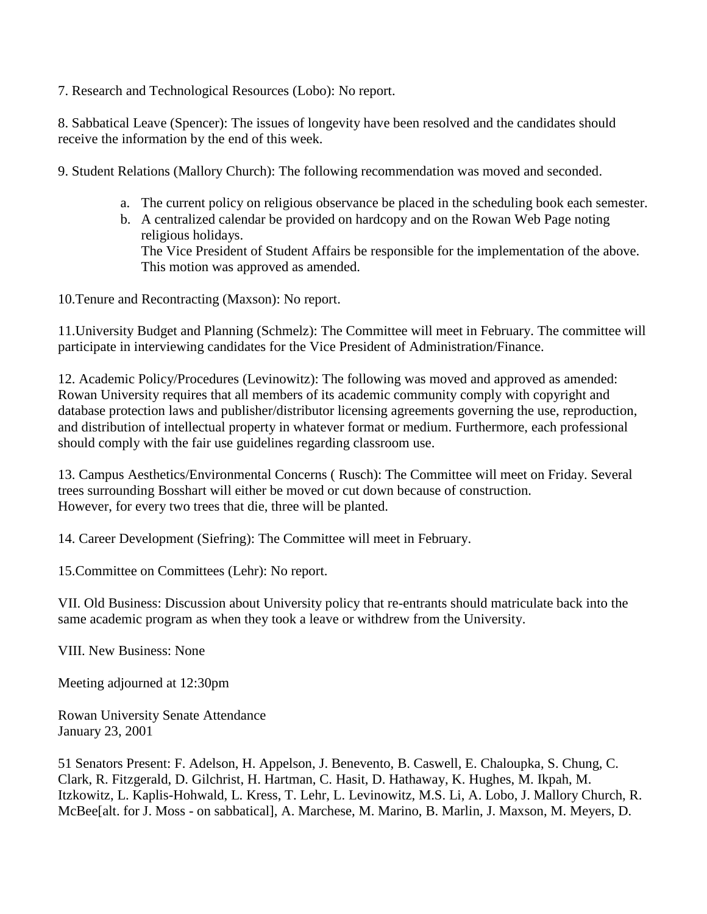7. Research and Technological Resources (Lobo): No report.

8. Sabbatical Leave (Spencer): The issues of longevity have been resolved and the candidates should receive the information by the end of this week.

9. Student Relations (Mallory Church): The following recommendation was moved and seconded.

- a. The current policy on religious observance be placed in the scheduling book each semester.
- b. A centralized calendar be provided on hardcopy and on the Rowan Web Page noting religious holidays. The Vice President of Student Affairs be responsible for the implementation of the above.

10.Tenure and Recontracting (Maxson): No report.

This motion was approved as amended.

11.University Budget and Planning (Schmelz): The Committee will meet in February. The committee will participate in interviewing candidates for the Vice President of Administration/Finance.

12. Academic Policy/Procedures (Levinowitz): The following was moved and approved as amended: Rowan University requires that all members of its academic community comply with copyright and database protection laws and publisher/distributor licensing agreements governing the use, reproduction, and distribution of intellectual property in whatever format or medium. Furthermore, each professional should comply with the fair use guidelines regarding classroom use.

13. Campus Aesthetics/Environmental Concerns ( Rusch): The Committee will meet on Friday. Several trees surrounding Bosshart will either be moved or cut down because of construction. However, for every two trees that die, three will be planted.

14. Career Development (Siefring): The Committee will meet in February.

15.Committee on Committees (Lehr): No report.

VII. Old Business: Discussion about University policy that re-entrants should matriculate back into the same academic program as when they took a leave or withdrew from the University.

VIII. New Business: None

Meeting adjourned at 12:30pm

Rowan University Senate Attendance January 23, 2001

51 Senators Present: F. Adelson, H. Appelson, J. Benevento, B. Caswell, E. Chaloupka, S. Chung, C. Clark, R. Fitzgerald, D. Gilchrist, H. Hartman, C. Hasit, D. Hathaway, K. Hughes, M. Ikpah, M. Itzkowitz, L. Kaplis-Hohwald, L. Kress, T. Lehr, L. Levinowitz, M.S. Li, A. Lobo, J. Mallory Church, R. McBee[alt. for J. Moss - on sabbatical], A. Marchese, M. Marino, B. Marlin, J. Maxson, M. Meyers, D.